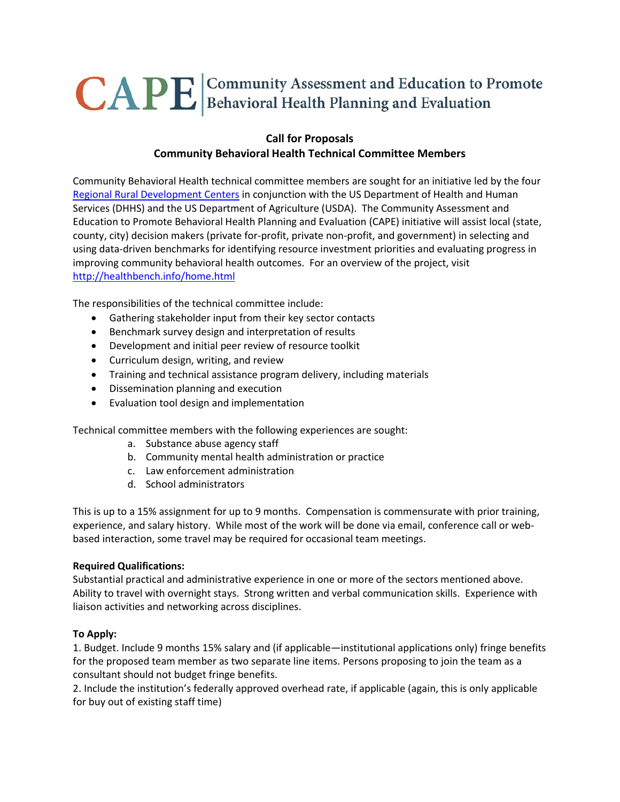# CAPE Gommunity Assessment and Education to Promote

## **Call for Proposals Community Behavioral Health Technical Committee Members**

Community Behavioral Health technical committee members are sought for an initiative led by the four [Regional Rural Development Centers](http://rrdc.info/index.html) in conjunction with the US Department of Health and Human Services (DHHS) and the US Department of Agriculture (USDA). The Community Assessment and Education to Promote Behavioral Health Planning and Evaluation (CAPE) initiative will assist local (state, county, city) decision makers (private for-profit, private non-profit, and government) in selecting and using data-driven benchmarks for identifying resource investment priorities and evaluating progress in improving community behavioral health outcomes. For an overview of the project, visit <http://healthbench.info/home.html>

The responsibilities of the technical committee include:

- Gathering stakeholder input from their key sector contacts
- Benchmark survey design and interpretation of results
- Development and initial peer review of resource toolkit
- Curriculum design, writing, and review
- Training and technical assistance program delivery, including materials
- Dissemination planning and execution
- Evaluation tool design and implementation

Technical committee members with the following experiences are sought:

- a. Substance abuse agency staff
- b. Community mental health administration or practice
- c. Law enforcement administration
- d. School administrators

This is up to a 15% assignment for up to 9 months. Compensation is commensurate with prior training, experience, and salary history. While most of the work will be done via email, conference call or webbased interaction, some travel may be required for occasional team meetings.

#### **Required Qualifications:**

Substantial practical and administrative experience in one or more of the sectors mentioned above. Ability to travel with overnight stays. Strong written and verbal communication skills. Experience with liaison activities and networking across disciplines.

#### **To Apply:**

1. Budget. Include 9 months 15% salary and (if applicable—institutional applications only) fringe benefits for the proposed team member as two separate line items. Persons proposing to join the team as a consultant should not budget fringe benefits.

2. Include the institution's federally approved overhead rate, if applicable (again, this is only applicable for buy out of existing staff time)